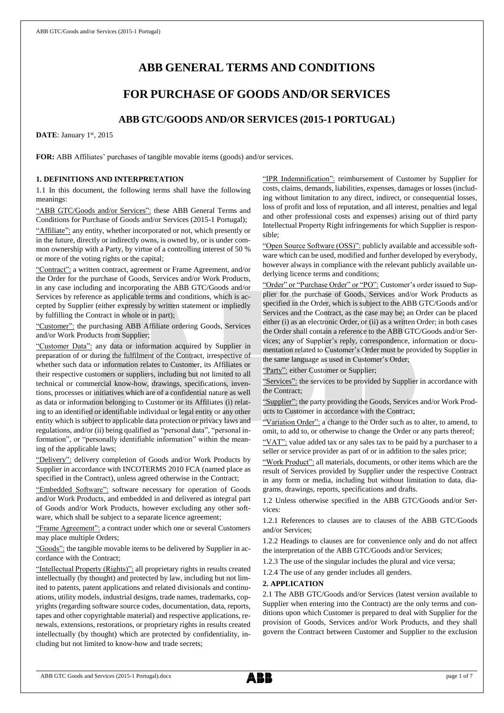# **ABB GENERAL TERMS AND CONDITIONS**

## **FOR PURCHASE OF GOODS AND/OR SERVICES**

## **ABB GTC/GOODS AND/OR SERVICES (2015-1 PORTUGAL)**

DATE: January 1st, 2015

**FOR:** ABB Affiliates' purchases of tangible movable items (goods) and/or services.

## **1. DEFINITIONS AND INTERPRETATION**

1.1 In this document, the following terms shall have the following meanings:

"ABB GTC/Goods and/or Services": these ABB General Terms and Conditions for Purchase of Goods and/or Services (2015-1 Portugal);

"Affiliate": any entity, whether incorporated or not, which presently or in the future, directly or indirectly owns, is owned by, or is under common ownership with a Party, by virtue of a controlling interest of 50 % or more of the voting rights or the capital;

"Contract": a written contract, agreement or Frame Agreement, and/or the Order for the purchase of Goods, Services and/or Work Products, in any case including and incorporating the ABB GTC/Goods and/or Services by reference as applicable terms and conditions, which is accepted by Supplier (either expressly by written statement or impliedly by fulfilling the Contract in whole or in part);

"Customer": the purchasing ABB Affiliate ordering Goods, Services and/or Work Products from Supplier;

"Customer Data": any data or information acquired by Supplier in preparation of or during the fulfilment of the Contract, irrespective of whether such data or information relates to Customer, its Affiliates or their respective customers or suppliers, including but not limited to all technical or commercial know-how, drawings, specifications, inventions, processes or initiatives which are of a confidential nature as well as data or information belonging to Customer or its Affiliates (i) relating to an identified or identifiable individual or legal entity or any other entity which is subject to applicable data protection or privacy laws and regulations, and/or (ii) being qualified as "personal data", "personal information", or "personally identifiable information" within the meaning of the applicable laws;

"Delivery": delivery completion of Goods and/or Work Products by Supplier in accordance with INCOTERMS 2010 FCA (named place as specified in the Contract), unless agreed otherwise in the Contract;

edded Software": software necessary for operation of Goods and/or Work Products, and embedded in and delivered as integral part of Goods and/or Work Products, however excluding any other software, which shall be subject to a separate licence agreement;

"Frame Agreement": a contract under which one or several Customers may place multiple Orders;

"Goods": the tangible movable items to be delivered by Supplier in accordance with the Contract;

"Intellectual Property (Rights)": all proprietary rights in results created intellectually (by thought) and protected by law, including but not limited to patents, patent applications and related divisionals and continuations, utility models, industrial designs, trade names, trademarks, copyrights (regarding software source codes, documentation, data, reports, tapes and other copyrightable material) and respective applications, renewals, extensions, restorations, or proprietary rights in results created intellectually (by thought) which are protected by confidentiality, including but not limited to know-how and trade secrets;

"IPR Indemnification": reimbursement of Customer by Supplier for costs, claims, demands, liabilities, expenses, damages or losses (including without limitation to any direct, indirect, or consequential losses, loss of profit and loss of reputation, and all interest, penalties and legal and other professional costs and expenses) arising out of third party Intellectual Property Right infringements for which Supplier is responsible;

"Open Source Software (OSS)": publicly available and accessible software which can be used, modified and further developed by everybody, however always in compliance with the relevant publicly available underlying licence terms and conditions;

"Order" or "Purchase Order" or "PO": Customer's order issued to Supplier for the purchase of Goods, Services and/or Work Products as specified in the Order, which is subject to the ABB GTC/Goods and/or Services and the Contract, as the case may be; an Order can be placed either (i) as an electronic Order, or (ii) as a written Order; in both cases the Order shall contain a reference to the ABB GTC/Goods and/or Services; any of Supplier's reply, correspondence, information or documentation related to Customer's Order must be provided by Supplier in the same language as used in Customer's Order;

"Party": either Customer or Supplier;

"Services": the services to be provided by Supplier in accordance with the Contract;

"Supplier": the party providing the Goods, Services and/or Work Products to Customer in accordance with the Contract;

"Variation Order": a change to the Order such as to alter, to amend, to omit, to add to, or otherwise to change the Order or any parts thereof;

"VAT": value added tax or any sales tax to be paid by a purchaser to a seller or service provider as part of or in addition to the sales price;

"Work Product": all materials, documents, or other items which are the result of Services provided by Supplier under the respective Contract in any form or media, including but without limitation to data, diagrams, drawings, reports, specifications and drafts.

1.2 Unless otherwise specified in the ABB GTC/Goods and/or Services:

1.2.1 References to clauses are to clauses of the ABB GTC/Goods and/or Services;

1.2.2 Headings to clauses are for convenience only and do not affect the interpretation of the ABB GTC/Goods and/or Services;

1.2.3 The use of the singular includes the plural and vice versa;

1.2.4 The use of any gender includes all genders.

## **2. APPLICATION**

2.1 The ABB GTC/Goods and/or Services (latest version available to Supplier when entering into the Contract) are the only terms and conditions upon which Customer is prepared to deal with Supplier for the provision of Goods, Services and/or Work Products, and they shall govern the Contract between Customer and Supplier to the exclusion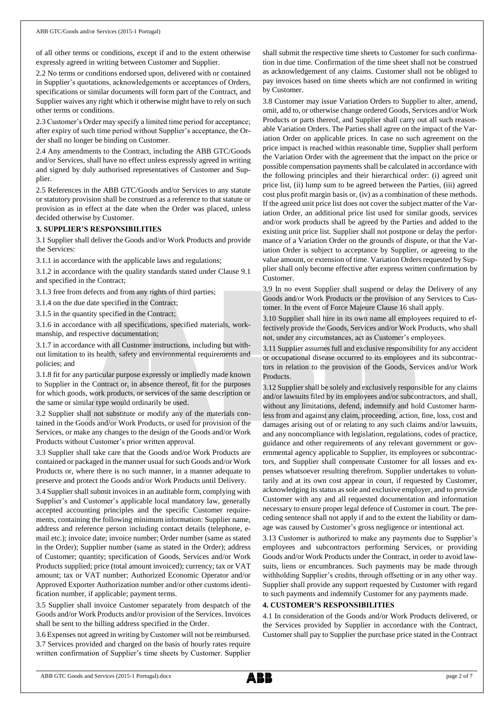of all other terms or conditions, except if and to the extent otherwise expressly agreed in writing between Customer and Supplier.

2.2 No terms or conditions endorsed upon, delivered with or contained in Supplier's quotations, acknowledgements or acceptances of Orders, specifications or similar documents will form part of the Contract, and Supplier waives any right which it otherwise might have to rely on such other terms or conditions.

2.3 Customer's Order may specify a limited time period for acceptance; after expiry of such time period without Supplier's acceptance, the Order shall no longer be binding on Customer.

2.4 Any amendments to the Contract, including the ABB GTC/Goods and/or Services, shall have no effect unless expressly agreed in writing and signed by duly authorised representatives of Customer and Supplier.

2.5 References in the ABB GTC/Goods and/or Services to any statute or statutory provision shall be construed as a reference to that statute or provision as in effect at the date when the Order was placed, unless decided otherwise by Customer.

## **3. SUPPLIER'S RESPONSIBILITIES**

3.1 Supplier shall deliver the Goods and/or Work Products and provide the Services:

3.1.1 in accordance with the applicable laws and regulations;

3.1.2 in accordance with the quality standards stated under Clause 9.1 and specified in the Contract;

3.1.3 free from defects and from any rights of third parties;

3.1.4 on the due date specified in the Contract;

3.1.5 in the quantity specified in the Contract;

3.1.6 in accordance with all specifications, specified materials, workmanship, and respective documentation;

3.1.7 in accordance with all Customer instructions, including but without limitation to its health, safety and environmental requirements and policies; and

3.1.8 fit for any particular purpose expressly or impliedly made known to Supplier in the Contract or, in absence thereof, fit for the purposes for which goods, work products, or services of the same description or the same or similar type would ordinarily be used.

3.2 Supplier shall not substitute or modify any of the materials contained in the Goods and/or Work Products, or used for provision of the Services, or make any changes to the design of the Goods and/or Work Products without Customer's prior written approval.

3.3 Supplier shall take care that the Goods and/or Work Products are contained or packaged in the manner usual for such Goods and/or Work Products or, where there is no such manner, in a manner adequate to preserve and protect the Goods and/or Work Products until Delivery.

3.4 Supplier shall submit invoices in an auditable form, complying with Supplier's and Customer's applicable local mandatory law, generally accepted accounting principles and the specific Customer requirements, containing the following minimum information: Supplier name, address and reference person including contact details (telephone, email etc.); invoice date; invoice number; Order number (same as stated in the Order); Supplier number (same as stated in the Order); address of Customer; quantity; specification of Goods, Services and/or Work Products supplied; price (total amount invoiced); currency; tax or VAT amount; tax or VAT number; Authorized Economic Operator and/or Approved Exporter Authorization number and/or other customs identification number, if applicable; payment terms.

3.5 Supplier shall invoice Customer separately from despatch of the Goods and/or Work Products and/or provision of the Services. Invoices shall be sent to the billing address specified in the Order.

3.6 Expenses not agreed in writing by Customer will not be reimbursed. 3.7 Services provided and charged on the basis of hourly rates require written confirmation of Supplier's time sheets by Customer. Supplier shall submit the respective time sheets to Customer for such confirmation in due time. Confirmation of the time sheet shall not be construed as acknowledgement of any claims. Customer shall not be obliged to pay invoices based on time sheets which are not confirmed in writing by Customer.

3.8 Customer may issue Variation Orders to Supplier to alter, amend, omit, add to, or otherwise change ordered Goods, Services and/or Work Products or parts thereof, and Supplier shall carry out all such reasonable Variation Orders. The Parties shall agree on the impact of the Variation Order on applicable prices. In case no such agreement on the price impact is reached within reasonable time, Supplier shall perform the Variation Order with the agreement that the impact on the price or possible compensation payments shall be calculated in accordance with the following principles and their hierarchical order: (i) agreed unit price list, (ii) lump sum to be agreed between the Parties, (iii) agreed cost plus profit margin basis or, (iv) as a combination of these methods. If the agreed unit price list does not cover the subject matter of the Variation Order, an additional price list used for similar goods, services and/or work products shall be agreed by the Parties and added to the existing unit price list. Supplier shall not postpone or delay the performance of a Variation Order on the grounds of dispute, or that the Variation Order is subject to acceptance by Supplier, or agreeing to the value amount, or extension of time. Variation Orders requested by Supplier shall only become effective after express written confirmation by Customer.

3.9 In no event Supplier shall suspend or delay the Delivery of any Goods and/or Work Products or the provision of any Services to Customer. In the event of Force Majeure Clause 16 shall apply.

3.10 Supplier shall hire in its own name all employees required to effectively provide the Goods, Services and/or Work Products, who shall not, under any circumstances, act as Customer's employees.

3.11 Supplier assumes full and exclusive responsibility for any accident or occupational disease occurred to its employees and its subcontractors in relation to the provision of the Goods, Services and/or Work Products.

3.12 Supplier shall be solely and exclusively responsible for any claims and/or lawsuits filed by its employees and/or subcontractors, and shall, without any limitations, defend, indemnify and hold Customer harmless from and against any claim, proceeding, action, fine, loss, cost and damages arising out of or relating to any such claims and/or lawsuits, and any noncompliance with legislation, regulations, codes of practice, guidance and other requirements of any relevant government or governmental agency applicable to Supplier, its employees or subcontractors, and Supplier shall compensate Customer for all losses and expenses whatsoever resulting therefrom. Supplier undertakes to voluntarily and at its own cost appear in court, if requested by Customer, acknowledging its status as sole and exclusive employer, and to provide Customer with any and all requested documentation and information necessary to ensure proper legal defence of Customer in court. The preceding sentence shall not apply if and to the extent the liability or damage was caused by Customer's gross negligence or intentional act.

3.13 Customer is authorized to make any payments due to Supplier's employees and subcontractors performing Services, or providing Goods and/or Work Products under the Contract, in order to avoid lawsuits, liens or encumbrances. Such payments may be made through withholding Supplier's credits, through offsetting or in any other way. Supplier shall provide any support requested by Customer with regard to such payments and indemnify Customer for any payments made.

## **4. CUSTOMER'S RESPONSIBILITIES**

4.1 In consideration of the Goods and/or Work Products delivered, or the Services provided by Supplier in accordance with the Contract, Customer shall pay to Supplier the purchase price stated in the Contract

ABB GTC Goods and Services (2015-1 Portugal).docx page 2 of 7

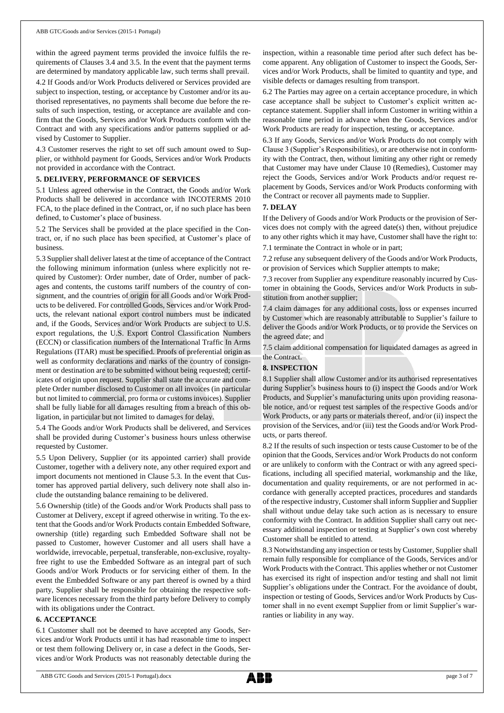within the agreed payment terms provided the invoice fulfils the requirements of Clauses 3.4 and 3.5. In the event that the payment terms are determined by mandatory applicable law, such terms shall prevail.

4.2 If Goods and/or Work Products delivered or Services provided are subject to inspection, testing, or acceptance by Customer and/or its authorised representatives, no payments shall become due before the results of such inspection, testing, or acceptance are available and confirm that the Goods, Services and/or Work Products conform with the Contract and with any specifications and/or patterns supplied or advised by Customer to Supplier.

4.3 Customer reserves the right to set off such amount owed to Supplier, or withhold payment for Goods, Services and/or Work Products not provided in accordance with the Contract.

#### **5. DELIVERY, PERFORMANCE OF SERVICES**

5.1 Unless agreed otherwise in the Contract, the Goods and/or Work Products shall be delivered in accordance with INCOTERMS 2010 FCA, to the place defined in the Contract, or, if no such place has been defined, to Customer's place of business.

5.2 The Services shall be provided at the place specified in the Contract, or, if no such place has been specified, at Customer's place of business.

5.3 Supplier shall deliver latest at the time of acceptance of the Contract the following minimum information (unless where explicitly not required by Customer): Order number, date of Order, number of packages and contents, the customs tariff numbers of the country of consignment, and the countries of origin for all Goods and/or Work Products to be delivered. For controlled Goods, Services and/or Work Products, the relevant national export control numbers must be indicated and, if the Goods, Services and/or Work Products are subject to U.S. export regulations, the U.S. Export Control Classification Numbers (ECCN) or classification numbers of the International Traffic In Arms Regulations (ITAR) must be specified. Proofs of preferential origin as well as conformity declarations and marks of the country of consignment or destination are to be submitted without being requested; certificates of origin upon request. Supplier shall state the accurate and complete Order number disclosed to Customer on all invoices (in particular but not limited to commercial, pro forma or customs invoices). Supplier shall be fully liable for all damages resulting from a breach of this obligation, in particular but not limited to damages for delay.

5.4 The Goods and/or Work Products shall be delivered, and Services shall be provided during Customer's business hours unless otherwise requested by Customer.

5.5 Upon Delivery, Supplier (or its appointed carrier) shall provide Customer, together with a delivery note, any other required export and import documents not mentioned in Clause 5.3. In the event that Customer has approved partial delivery, such delivery note shall also include the outstanding balance remaining to be delivered.

5.6 Ownership (title) of the Goods and/or Work Products shall pass to Customer at Delivery, except if agreed otherwise in writing. To the extent that the Goods and/or Work Products contain Embedded Software, ownership (title) regarding such Embedded Software shall not be passed to Customer, however Customer and all users shall have a worldwide, irrevocable, perpetual, transferable, non-exclusive, royaltyfree right to use the Embedded Software as an integral part of such Goods and/or Work Products or for servicing either of them. In the event the Embedded Software or any part thereof is owned by a third party, Supplier shall be responsible for obtaining the respective software licences necessary from the third party before Delivery to comply with its obligations under the Contract.

#### **6. ACCEPTANCE**

6.1 Customer shall not be deemed to have accepted any Goods, Services and/or Work Products until it has had reasonable time to inspect or test them following Delivery or, in case a defect in the Goods, Services and/or Work Products was not reasonably detectable during the

inspection, within a reasonable time period after such defect has become apparent. Any obligation of Customer to inspect the Goods, Services and/or Work Products, shall be limited to quantity and type, and visible defects or damages resulting from transport.

6.2 The Parties may agree on a certain acceptance procedure, in which case acceptance shall be subject to Customer's explicit written acceptance statement. Supplier shall inform Customer in writing within a reasonable time period in advance when the Goods, Services and/or Work Products are ready for inspection, testing, or acceptance.

6.3 If any Goods, Services and/or Work Products do not comply with Clause 3 (Supplier's Responsibilities), or are otherwise not in conformity with the Contract, then, without limiting any other right or remedy that Customer may have under Clause 10 (Remedies), Customer may reject the Goods, Services and/or Work Products and/or request replacement by Goods, Services and/or Work Products conforming with the Contract or recover all payments made to Supplier.

## **7. DELAY**

If the Delivery of Goods and/or Work Products or the provision of Services does not comply with the agreed date(s) then, without prejudice to any other rights which it may have, Customer shall have the right to: 7.1 terminate the Contract in whole or in part;

7.2 refuse any subsequent delivery of the Goods and/or Work Products, or provision of Services which Supplier attempts to make;

7.3 recover from Supplier any expenditure reasonably incurred by Customer in obtaining the Goods, Services and/or Work Products in substitution from another supplier;

7.4 claim damages for any additional costs, loss or expenses incurred by Customer which are reasonably attributable to Supplier's failure to deliver the Goods and/or Work Products, or to provide the Services on the agreed date; and

7.5 claim additional compensation for liquidated damages as agreed in the Contract.

## **8. INSPECTION**

8.1 Supplier shall allow Customer and/or its authorised representatives during Supplier's business hours to (i) inspect the Goods and/or Work Products, and Supplier's manufacturing units upon providing reasonable notice, and/or request test samples of the respective Goods and/or Work Products, or any parts or materials thereof, and/or (ii) inspect the provision of the Services, and/or (iii) test the Goods and/or Work Products, or parts thereof.

8.2 If the results of such inspection or tests cause Customer to be of the opinion that the Goods, Services and/or Work Products do not conform or are unlikely to conform with the Contract or with any agreed specifications, including all specified material, workmanship and the like, documentation and quality requirements, or are not performed in accordance with generally accepted practices, procedures and standards of the respective industry, Customer shall inform Supplier and Supplier shall without undue delay take such action as is necessary to ensure conformity with the Contract. In addition Supplier shall carry out necessary additional inspection or testing at Supplier's own cost whereby Customer shall be entitled to attend.

8.3 Notwithstanding any inspection or tests by Customer, Supplier shall remain fully responsible for compliance of the Goods, Services and/or Work Products with the Contract. This applies whether or not Customer has exercised its right of inspection and/or testing and shall not limit Supplier's obligations under the Contract. For the avoidance of doubt, inspection or testing of Goods, Services and/or Work Products by Customer shall in no event exempt Supplier from or limit Supplier's warranties or liability in any way.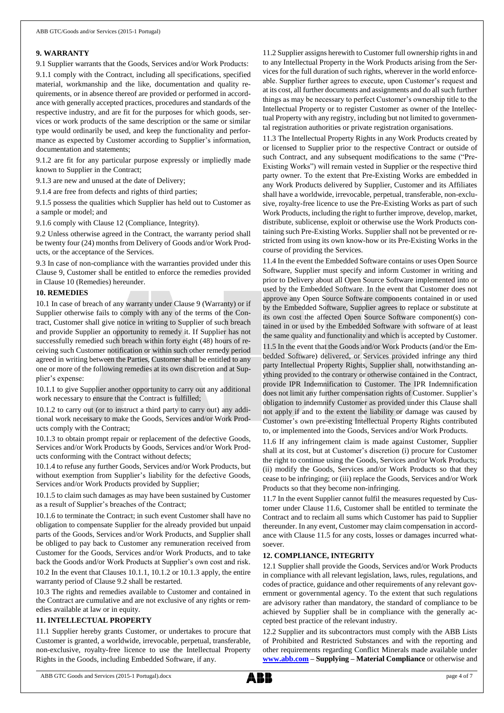#### **9. WARRANTY**

9.1 Supplier warrants that the Goods, Services and/or Work Products: 9.1.1 comply with the Contract, including all specifications, specified material, workmanship and the like, documentation and quality requirements, or in absence thereof are provided or performed in accordance with generally accepted practices, procedures and standards of the respective industry, and are fit for the purposes for which goods, services or work products of the same description or the same or similar type would ordinarily be used, and keep the functionality and performance as expected by Customer according to Supplier's information, documentation and statements;

9.1.2 are fit for any particular purpose expressly or impliedly made known to Supplier in the Contract;

9.1.3 are new and unused at the date of Delivery;

9.1.4 are free from defects and rights of third parties;

9.1.5 possess the qualities which Supplier has held out to Customer as a sample or model; and

9.1.6 comply with Clause 12 (Compliance, Integrity).

9.2 Unless otherwise agreed in the Contract, the warranty period shall be twenty four (24) months from Delivery of Goods and/or Work Products, or the acceptance of the Services.

9.3 In case of non-compliance with the warranties provided under this Clause 9, Customer shall be entitled to enforce the remedies provided in Clause 10 (Remedies) hereunder.

#### **10. REMEDIES**

10.1 In case of breach of any warranty under Clause 9 (Warranty) or if Supplier otherwise fails to comply with any of the terms of the Contract, Customer shall give notice in writing to Supplier of such breach and provide Supplier an opportunity to remedy it. If Supplier has not successfully remedied such breach within forty eight (48) hours of receiving such Customer notification or within such other remedy period agreed in writing between the Parties, Customer shall be entitled to any one or more of the following remedies at its own discretion and at Supplier's expense:

10.1.1 to give Supplier another opportunity to carry out any additional work necessary to ensure that the Contract is fulfilled;

10.1.2 to carry out (or to instruct a third party to carry out) any additional work necessary to make the Goods, Services and/or Work Products comply with the Contract;

10.1.3 to obtain prompt repair or replacement of the defective Goods, Services and/or Work Products by Goods, Services and/or Work Products conforming with the Contract without defects;

10.1.4 to refuse any further Goods, Services and/or Work Products, but without exemption from Supplier's liability for the defective Goods, Services and/or Work Products provided by Supplier;

10.1.5 to claim such damages as may have been sustained by Customer as a result of Supplier's breaches of the Contract;

10.1.6 to terminate the Contract; in such event Customer shall have no obligation to compensate Supplier for the already provided but unpaid parts of the Goods, Services and/or Work Products, and Supplier shall be obliged to pay back to Customer any remuneration received from Customer for the Goods, Services and/or Work Products, and to take back the Goods and/or Work Products at Supplier's own cost and risk. 10.2 In the event that Clauses 10.1.1, 10.1.2 or 10.1.3 apply, the entire

warranty period of Clause 9.2 shall be restarted.

10.3 The rights and remedies available to Customer and contained in the Contract are cumulative and are not exclusive of any rights or remedies available at law or in equity.

## **11. INTELLECTUAL PROPERTY**

11.1 Supplier hereby grants Customer, or undertakes to procure that Customer is granted, a worldwide, irrevocable, perpetual, transferable, non-exclusive, royalty-free licence to use the Intellectual Property Rights in the Goods, including Embedded Software, if any.

11.2 Supplier assigns herewith to Customer full ownership rights in and to any Intellectual Property in the Work Products arising from the Services for the full duration of such rights, wherever in the world enforceable. Supplier further agrees to execute, upon Customer's request and at its cost, all further documents and assignments and do all such further things as may be necessary to perfect Customer's ownership title to the Intellectual Property or to register Customer as owner of the Intellectual Property with any registry, including but not limited to governmental registration authorities or private registration organisations.

11.3 The Intellectual Property Rights in any Work Products created by or licensed to Supplier prior to the respective Contract or outside of such Contract, and any subsequent modifications to the same ("Pre-Existing Works") will remain vested in Supplier or the respective third party owner. To the extent that Pre-Existing Works are embedded in any Work Products delivered by Supplier, Customer and its Affiliates shall have a worldwide, irrevocable, perpetual, transferable, non-exclusive, royalty-free licence to use the Pre-Existing Works as part of such Work Products, including the right to further improve, develop, market, distribute, sublicense, exploit or otherwise use the Work Products containing such Pre-Existing Works. Supplier shall not be prevented or restricted from using its own know-how or its Pre-Existing Works in the course of providing the Services.

11.4 In the event the Embedded Software contains or uses Open Source Software, Supplier must specify and inform Customer in writing and prior to Delivery about all Open Source Software implemented into or used by the Embedded Software. In the event that Customer does not approve any Open Source Software components contained in or used by the Embedded Software, Supplier agrees to replace or substitute at its own cost the affected Open Source Software component(s) contained in or used by the Embedded Software with software of at least the same quality and functionality and which is accepted by Customer. 11.5 In the event that the Goods and/or Work Products (and/or the Embedded Software) delivered, or Services provided infringe any third party Intellectual Property Rights, Supplier shall, notwithstanding anything provided to the contrary or otherwise contained in the Contract, provide IPR Indemnification to Customer. The IPR Indemnification does not limit any further compensation rights of Customer. Supplier's obligation to indemnify Customer as provided under this Clause shall not apply if and to the extent the liability or damage was caused by Customer's own pre-existing Intellectual Property Rights contributed to, or implemented into the Goods, Services and/or Work Products.

11.6 If any infringement claim is made against Customer, Supplier shall at its cost, but at Customer's discretion (i) procure for Customer the right to continue using the Goods, Services and/or Work Products; (ii) modify the Goods, Services and/or Work Products so that they cease to be infringing; or (iii) replace the Goods, Services and/or Work Products so that they become non-infringing.

11.7 In the event Supplier cannot fulfil the measures requested by Customer under Clause 11.6, Customer shall be entitled to terminate the Contract and to reclaim all sums which Customer has paid to Supplier thereunder. In any event, Customer may claim compensation in accordance with Clause 11.5 for any costs, losses or damages incurred whatsoever.

## **12. COMPLIANCE, INTEGRITY**

12.1 Supplier shall provide the Goods, Services and/or Work Products in compliance with all relevant legislation, laws, rules, regulations, and codes of practice, guidance and other requirements of any relevant government or governmental agency. To the extent that such regulations are advisory rather than mandatory, the standard of compliance to be achieved by Supplier shall be in compliance with the generally accepted best practice of the relevant industry.

12.2 Supplier and its subcontractors must comply with the ABB Lists of Prohibited and Restricted Substances and with the reporting and other requirements regarding Conflict Minerals made available under **[www.abb.com](http://www.abb.com/) – Supplying – Material Compliance** or otherwise and

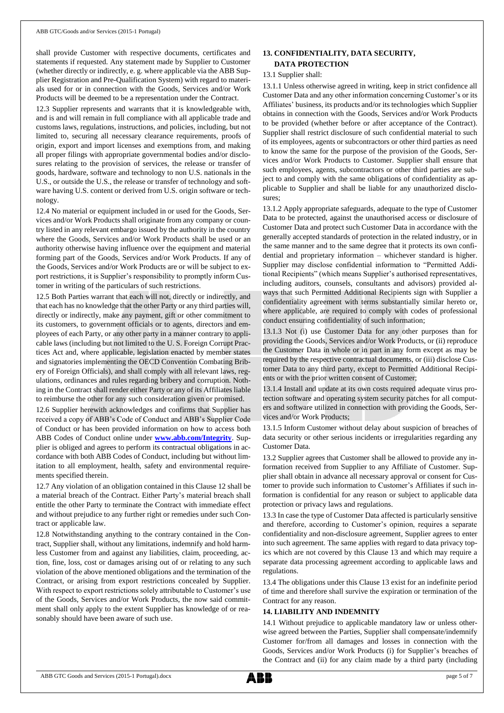shall provide Customer with respective documents, certificates and statements if requested. Any statement made by Supplier to Customer (whether directly or indirectly, e. g. where applicable via the ABB Supplier Registration and Pre-Qualification System) with regard to materials used for or in connection with the Goods, Services and/or Work Products will be deemed to be a representation under the Contract.

12.3 Supplier represents and warrants that it is knowledgeable with, and is and will remain in full compliance with all applicable trade and customs laws, regulations, instructions, and policies, including, but not limited to, securing all necessary clearance requirements, proofs of origin, export and import licenses and exemptions from, and making all proper filings with appropriate governmental bodies and/or disclosures relating to the provision of services, the release or transfer of goods, hardware, software and technology to non U.S. nationals in the U.S., or outside the U.S., the release or transfer of technology and software having U.S. content or derived from U.S. origin software or technology.

12.4 No material or equipment included in or used for the Goods, Services and/or Work Products shall originate from any company or country listed in any relevant embargo issued by the authority in the country where the Goods, Services and/or Work Products shall be used or an authority otherwise having influence over the equipment and material forming part of the Goods, Services and/or Work Products. If any of the Goods, Services and/or Work Products are or will be subject to export restrictions, it is Supplier's responsibility to promptly inform Customer in writing of the particulars of such restrictions.

12.5 Both Parties warrant that each will not, directly or indirectly, and that each has no knowledge that the other Party or any third parties will, directly or indirectly, make any payment, gift or other commitment to its customers, to government officials or to agents, directors and employees of each Party, or any other party in a manner contrary to applicable laws (including but not limited to the U. S. Foreign Corrupt Practices Act and, where applicable, legislation enacted by member states and signatories implementing the OECD Convention Combating Bribery of Foreign Officials), and shall comply with all relevant laws, regulations, ordinances and rules regarding bribery and corruption. Nothing in the Contract shall render either Party or any of its Affiliates liable to reimburse the other for any such consideration given or promised.

12.6 Supplier herewith acknowledges and confirms that Supplier has received a copy of ABB's Code of Conduct and ABB's Supplier Code of Conduct or has been provided information on how to access both ABB Codes of Conduct online under **[www.abb.com/Integrity](http://www.abb.com/Integrity)**. Supplier is obliged and agrees to perform its contractual obligations in accordance with both ABB Codes of Conduct, including but without limitation to all employment, health, safety and environmental requirements specified therein.

12.7 Any violation of an obligation contained in this Clause 12 shall be a material breach of the Contract. Either Party's material breach shall entitle the other Party to terminate the Contract with immediate effect and without prejudice to any further right or remedies under such Contract or applicable law.

12.8 Notwithstanding anything to the contrary contained in the Contract, Supplier shall, without any limitations, indemnify and hold harmless Customer from and against any liabilities, claim, proceeding, action, fine, loss, cost or damages arising out of or relating to any such violation of the above mentioned obligations and the termination of the Contract, or arising from export restrictions concealed by Supplier. With respect to export restrictions solely attributable to Customer's use of the Goods, Services and/or Work Products, the now said commitment shall only apply to the extent Supplier has knowledge of or reasonably should have been aware of such use.

## **13. CONFIDENTIALITY, DATA SECURITY, DATA PROTECTION**

#### 13.1 Supplier shall:

13.1.1 Unless otherwise agreed in writing, keep in strict confidence all Customer Data and any other information concerning Customer's or its Affiliates' business, its products and/or its technologies which Supplier obtains in connection with the Goods, Services and/or Work Products to be provided (whether before or after acceptance of the Contract). Supplier shall restrict disclosure of such confidential material to such of its employees, agents or subcontractors or other third parties as need to know the same for the purpose of the provision of the Goods, Services and/or Work Products to Customer. Supplier shall ensure that such employees, agents, subcontractors or other third parties are subject to and comply with the same obligations of confidentiality as applicable to Supplier and shall be liable for any unauthorized disclosures;

13.1.2 Apply appropriate safeguards, adequate to the type of Customer Data to be protected, against the unauthorised access or disclosure of Customer Data and protect such Customer Data in accordance with the generally accepted standards of protection in the related industry, or in the same manner and to the same degree that it protects its own confidential and proprietary information – whichever standard is higher. Supplier may disclose confidential information to "Permitted Additional Recipients" (which means Supplier's authorised representatives, including auditors, counsels, consultants and advisors) provided always that such Permitted Additional Recipients sign with Supplier a confidentiality agreement with terms substantially similar hereto or, where applicable, are required to comply with codes of professional conduct ensuring confidentiality of such information;

13.1.3 Not (i) use Customer Data for any other purposes than for providing the Goods, Services and/or Work Products, or (ii) reproduce the Customer Data in whole or in part in any form except as may be required by the respective contractual documents, or (iii) disclose Customer Data to any third party, except to Permitted Additional Recipients or with the prior written consent of Customer;

13.1.4 Install and update at its own costs required adequate virus protection software and operating system security patches for all computers and software utilized in connection with providing the Goods, Services and/or Work Products;

13.1.5 Inform Customer without delay about suspicion of breaches of data security or other serious incidents or irregularities regarding any Customer Data.

13.2 Supplier agrees that Customer shall be allowed to provide any information received from Supplier to any Affiliate of Customer. Supplier shall obtain in advance all necessary approval or consent for Customer to provide such information to Customer's Affiliates if such information is confidential for any reason or subject to applicable data protection or privacy laws and regulations.

13.3 In case the type of Customer Data affected is particularly sensitive and therefore, according to Customer's opinion, requires a separate confidentiality and non-disclosure agreement, Supplier agrees to enter into such agreement. The same applies with regard to data privacy topics which are not covered by this Clause 13 and which may require a separate data processing agreement according to applicable laws and regulations.

13.4 The obligations under this Clause 13 exist for an indefinite period of time and therefore shall survive the expiration or termination of the Contract for any reason.

#### **14. LIABILITY AND INDEMNITY**

14.1 Without prejudice to applicable mandatory law or unless otherwise agreed between the Parties, Supplier shall compensate/indemnify Customer for/from all damages and losses in connection with the Goods, Services and/or Work Products (i) for Supplier's breaches of the Contract and (ii) for any claim made by a third party (including

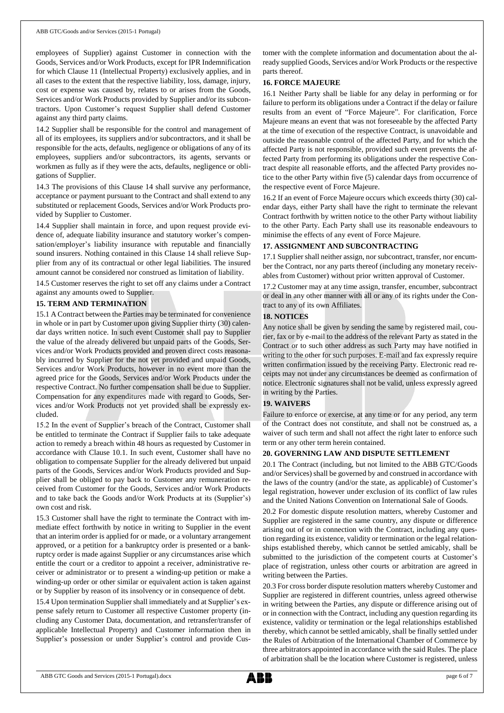employees of Supplier) against Customer in connection with the Goods, Services and/or Work Products, except for IPR Indemnification for which Clause 11 (Intellectual Property) exclusively applies, and in all cases to the extent that the respective liability, loss, damage, injury, cost or expense was caused by, relates to or arises from the Goods, Services and/or Work Products provided by Supplier and/or its subcontractors. Upon Customer's request Supplier shall defend Customer against any third party claims.

14.2 Supplier shall be responsible for the control and management of all of its employees, its suppliers and/or subcontractors, and it shall be responsible for the acts, defaults, negligence or obligations of any of its employees, suppliers and/or subcontractors, its agents, servants or workmen as fully as if they were the acts, defaults, negligence or obligations of Supplier.

14.3 The provisions of this Clause 14 shall survive any performance, acceptance or payment pursuant to the Contract and shall extend to any substituted or replacement Goods, Services and/or Work Products provided by Supplier to Customer.

14.4 Supplier shall maintain in force, and upon request provide evidence of, adequate liability insurance and statutory worker's compensation/employer's liability insurance with reputable and financially sound insurers. Nothing contained in this Clause 14 shall relieve Supplier from any of its contractual or other legal liabilities. The insured amount cannot be considered nor construed as limitation of liability.

14.5 Customer reserves the right to set off any claims under a Contract against any amounts owed to Supplier.

## **15. TERM AND TERMINATION**

15.1 A Contract between the Parties may be terminated for convenience in whole or in part by Customer upon giving Supplier thirty (30) calendar days written notice. In such event Customer shall pay to Supplier the value of the already delivered but unpaid parts of the Goods, Services and/or Work Products provided and proven direct costs reasonably incurred by Supplier for the not yet provided and unpaid Goods, Services and/or Work Products, however in no event more than the agreed price for the Goods, Services and/or Work Products under the respective Contract. No further compensation shall be due to Supplier. Compensation for any expenditures made with regard to Goods, Services and/or Work Products not yet provided shall be expressly excluded.

15.2 In the event of Supplier's breach of the Contract, Customer shall be entitled to terminate the Contract if Supplier fails to take adequate action to remedy a breach within 48 hours as requested by Customer in accordance with Clause 10.1. In such event, Customer shall have no obligation to compensate Supplier for the already delivered but unpaid parts of the Goods, Services and/or Work Products provided and Supplier shall be obliged to pay back to Customer any remuneration received from Customer for the Goods, Services and/or Work Products and to take back the Goods and/or Work Products at its (Supplier's) own cost and risk.

15.3 Customer shall have the right to terminate the Contract with immediate effect forthwith by notice in writing to Supplier in the event that an interim order is applied for or made, or a voluntary arrangement approved, or a petition for a bankruptcy order is presented or a bankruptcy order is made against Supplier or any circumstances arise which entitle the court or a creditor to appoint a receiver, administrative receiver or administrator or to present a winding-up petition or make a winding-up order or other similar or equivalent action is taken against or by Supplier by reason of its insolvency or in consequence of debt.

15.4 Upon termination Supplier shall immediately and at Supplier's expense safely return to Customer all respective Customer property (including any Customer Data, documentation, and retransfer/transfer of applicable Intellectual Property) and Customer information then in Supplier's possession or under Supplier's control and provide Customer with the complete information and documentation about the already supplied Goods, Services and/or Work Products or the respective parts thereof.

## **16. FORCE MAJEURE**

16.1 Neither Party shall be liable for any delay in performing or for failure to perform its obligations under a Contract if the delay or failure results from an event of "Force Majeure". For clarification, Force Majeure means an event that was not foreseeable by the affected Party at the time of execution of the respective Contract, is unavoidable and outside the reasonable control of the affected Party, and for which the affected Party is not responsible, provided such event prevents the affected Party from performing its obligations under the respective Contract despite all reasonable efforts, and the affected Party provides notice to the other Party within five (5) calendar days from occurrence of the respective event of Force Majeure.

16.2 If an event of Force Majeure occurs which exceeds thirty (30) calendar days, either Party shall have the right to terminate the relevant Contract forthwith by written notice to the other Party without liability to the other Party. Each Party shall use its reasonable endeavours to minimise the effects of any event of Force Majeure.

## **17. ASSIGNMENT AND SUBCONTRACTING**

17.1 Supplier shall neither assign, nor subcontract, transfer, nor encumber the Contract, nor any parts thereof (including any monetary receivables from Customer) without prior written approval of Customer.

17.2 Customer may at any time assign, transfer, encumber, subcontract or deal in any other manner with all or any of its rights under the Contract to any of its own Affiliates.

## **18. NOTICES**

Any notice shall be given by sending the same by registered mail, courier, fax or by e-mail to the address of the relevant Party as stated in the Contract or to such other address as such Party may have notified in writing to the other for such purposes. E-mail and fax expressly require written confirmation issued by the receiving Party. Electronic read receipts may not under any circumstances be deemed as confirmation of notice. Electronic signatures shall not be valid, unless expressly agreed in writing by the Parties.

## **19. WAIVERS**

Failure to enforce or exercise, at any time or for any period, any term of the Contract does not constitute, and shall not be construed as, a waiver of such term and shall not affect the right later to enforce such term or any other term herein contained.

## **20. GOVERNING LAW AND DISPUTE SETTLEMENT**

20.1 The Contract (including, but not limited to the ABB GTC/Goods and/or Services) shall be governed by and construed in accordance with the laws of the country (and/or the state, as applicable) of Customer's legal registration, however under exclusion of its conflict of law rules and the United Nations Convention on International Sale of Goods.

20.2 For domestic dispute resolution matters, whereby Customer and Supplier are registered in the same country, any dispute or difference arising out of or in connection with the Contract, including any question regarding its existence, validity or termination or the legal relationships established thereby, which cannot be settled amicably, shall be submitted to the jurisdiction of the competent courts at Customer's place of registration, unless other courts or arbitration are agreed in writing between the Parties.

20.3 For cross border dispute resolution matters whereby Customer and Supplier are registered in different countries, unless agreed otherwise in writing between the Parties, any dispute or difference arising out of or in connection with the Contract, including any question regarding its existence, validity or termination or the legal relationships established thereby, which cannot be settled amicably, shall be finally settled under the Rules of Arbitration of the International Chamber of Commerce by three arbitrators appointed in accordance with the said Rules. The place of arbitration shall be the location where Customer is registered, unless